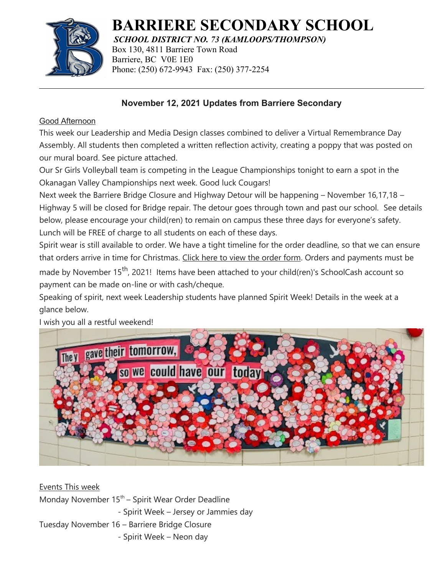

## **BARRIERE SECONDARY SCHOOL**

*SCHOOL DISTRICT NO. 73 (KAMLOOPS/THOMPSON)* Box 130, 4811 Barriere Town Road Barriere, BC V0E 1E0 Phone: (250) 672-9943 Fax: (250) 377-2254

## **November 12, 2021 Updates from Barriere Secondary**

## Good Afternoon

This week our Leadership and Media Design classes combined to deliver a Virtual Remembrance Day Assembly. All students then completed a written reflection activity, creating a poppy that was posted on our mural board. See picture attached.

Our Sr Girls Volleyball team is competing in the League Championships tonight to earn a spot in the Okanagan Valley Championships next week. Good luck Cougars!

Next week the Barriere Bridge Closure and Highway Detour will be happening – November 16,17,18 – Highway 5 will be closed for Bridge repair. The detour goes through town and past our school. See details below, please encourage your child(ren) to remain on campus these three days for everyone's safety. Lunch will be FREE of charge to all students on each of these days.

Spirit wear is still available to order. We have a tight timeline for the order deadline, so that we can ensure that orders arrive in time for Christmas. [Click here to view the order form](https://docs.google.com/forms/d/e/1FAIpQLSdmaRWXt3GSXinXfildhE59Ix7Gdj-dOqFq3ySx4FIAr9oq1A/viewform). Orders and payments must be made by November 15<sup>th</sup>, 2021! Items have been attached to your child(ren)'s SchoolCash account so payment can be made on-line or with cash/cheque.

Speaking of spirit, next week Leadership students have planned Spirit Week! Details in the week at a glance below.



I wish you all a restful weekend!

Events This week Monday November  $15<sup>th</sup>$  – Spirit Wear Order Deadline - Spirit Week – Jersey or Jammies day Tuesday November 16 – Barriere Bridge Closure - Spirit Week – Neon day